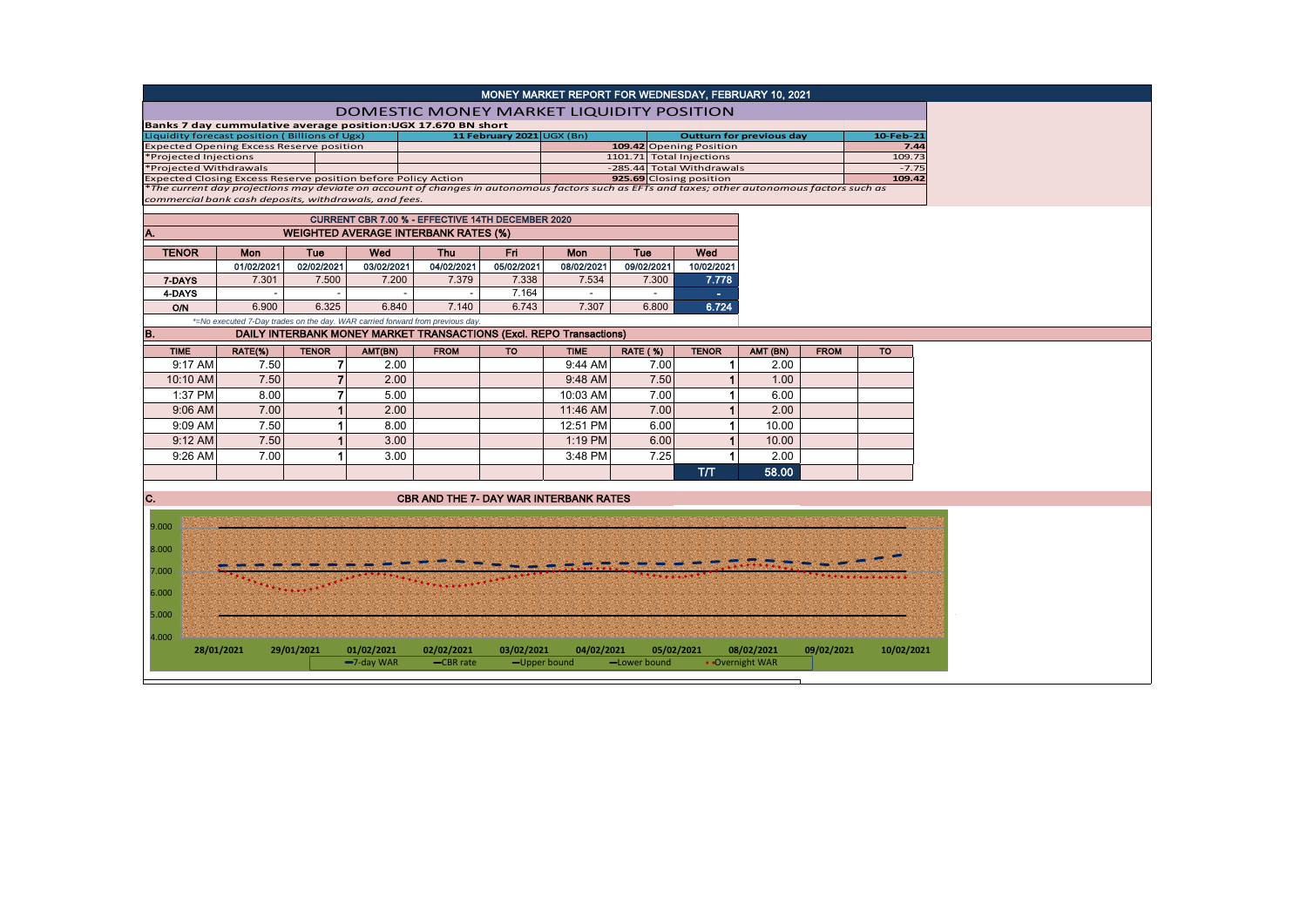| MONEY MARKET REPORT FOR WEDNESDAY, FEBRUARY 10, 2021                                                                                          |                                                                               |                      |               |                                                                     |                           |                                                       |                 |                      |                                 |             |                   |  |  |  |
|-----------------------------------------------------------------------------------------------------------------------------------------------|-------------------------------------------------------------------------------|----------------------|---------------|---------------------------------------------------------------------|---------------------------|-------------------------------------------------------|-----------------|----------------------|---------------------------------|-------------|-------------------|--|--|--|
|                                                                                                                                               | <b>DOMESTIC MONEY MARKET LIQUIDITY POSITION</b>                               |                      |               |                                                                     |                           |                                                       |                 |                      |                                 |             |                   |  |  |  |
|                                                                                                                                               |                                                                               |                      |               | Banks 7 day cummulative average position: UGX 17.670 BN short       |                           |                                                       |                 |                      |                                 |             |                   |  |  |  |
| Liquidity forecast position (Billions of Ugx)                                                                                                 |                                                                               |                      |               |                                                                     | 11 February 2021 UGX (Bn) |                                                       |                 |                      | <b>Outturn for previous day</b> |             | 10-Feb-21         |  |  |  |
| <b>Expected Opening Excess Reserve position</b>                                                                                               |                                                                               |                      |               |                                                                     |                           | 109.42 Opening Position                               |                 |                      |                                 |             | 7.44              |  |  |  |
| *Projected Injections<br>*Projected Withdrawals                                                                                               |                                                                               |                      |               |                                                                     |                           | 1101.71 Total Injections<br>-285.44 Total Withdrawals |                 |                      |                                 |             | 109.73<br>$-7.75$ |  |  |  |
| Expected Closing Excess Reserve position before Policy Action                                                                                 |                                                                               |                      |               |                                                                     |                           | 925.69 Closing position                               |                 |                      |                                 |             | 109.42            |  |  |  |
| *The current day projections may deviate on account of changes in autonomous factors such as EFTs and taxes; other autonomous factors such as |                                                                               |                      |               |                                                                     |                           |                                                       |                 |                      |                                 |             |                   |  |  |  |
| commercial bank cash deposits, withdrawals, and fees.                                                                                         |                                                                               |                      |               |                                                                     |                           |                                                       |                 |                      |                                 |             |                   |  |  |  |
| <b>CURRENT CBR 7.00 % - EFFECTIVE 14TH DECEMBER 2020</b>                                                                                      |                                                                               |                      |               |                                                                     |                           |                                                       |                 |                      |                                 |             |                   |  |  |  |
| Α.<br><b>WEIGHTED AVERAGE INTERBANK RATES (%)</b>                                                                                             |                                                                               |                      |               |                                                                     |                           |                                                       |                 |                      |                                 |             |                   |  |  |  |
| <b>TENOR</b>                                                                                                                                  | Mon                                                                           | Tue                  | Wed           | <b>Thu</b>                                                          | Fri.                      | <b>Mon</b><br><b>Tue</b>                              |                 | Wed                  |                                 |             |                   |  |  |  |
|                                                                                                                                               | 01/02/2021                                                                    | 02/02/2021           | 03/02/2021    | 04/02/2021                                                          | 05/02/2021                | 08/02/2021                                            | 09/02/2021      | 10/02/2021           |                                 |             |                   |  |  |  |
| 7-DAYS                                                                                                                                        | 7.301                                                                         | 7.500                | 7.200         | 7.379                                                               | 7.338                     | 7.534                                                 | 7.300           | 7.778                |                                 |             |                   |  |  |  |
| 4-DAYS                                                                                                                                        | $\overline{\phantom{a}}$                                                      | $\sim$               | $\sim$        | $\overline{\phantom{a}}$                                            | 7.164                     | $\sim$                                                | $\sim$          | $\sim$               |                                 |             |                   |  |  |  |
| <b>O/N</b>                                                                                                                                    | 6.900                                                                         | 6.325                | 6.840         | 7.140                                                               | 6.743                     | 7.307                                                 | 6.800           | 6.724                |                                 |             |                   |  |  |  |
|                                                                                                                                               | *=No executed 7-Day trades on the day. WAR carried forward from previous day. |                      |               |                                                                     |                           |                                                       |                 |                      |                                 |             |                   |  |  |  |
| B.                                                                                                                                            |                                                                               |                      |               | DAILY INTERBANK MONEY MARKET TRANSACTIONS (Excl. REPO Transactions) |                           |                                                       |                 |                      |                                 |             |                   |  |  |  |
| <b>TIME</b>                                                                                                                                   | RATE(%)                                                                       | <b>TENOR</b>         | AMT(BN)       | <b>FROM</b>                                                         | <b>TO</b>                 | <b>TIME</b>                                           | <b>RATE (%)</b> | <b>TENOR</b>         | AMT (BN)                        | <b>FROM</b> | <b>TO</b>         |  |  |  |
| 9:17 AM                                                                                                                                       | 7.50                                                                          | $\overline{7}$       | 2.00          |                                                                     |                           | 9:44 AM                                               | 7.00            | $\blacktriangleleft$ | 2.00                            |             |                   |  |  |  |
| 10:10 AM                                                                                                                                      | 7.50                                                                          | $\overline{7}$       | 2.00          |                                                                     |                           | 9:48 AM                                               | 7.50            | $\blacktriangleleft$ | 1.00                            |             |                   |  |  |  |
| 1:37 PM                                                                                                                                       | 8.00                                                                          | $\overline{7}$       | 5.00          |                                                                     |                           | 10:03 AM                                              | 7.00            | $\blacktriangleleft$ | 6.00                            |             |                   |  |  |  |
| 9:06 AM                                                                                                                                       | 7.00                                                                          | $\mathbf{1}$         | 2.00          |                                                                     |                           | 11:46 AM                                              | 7.00            | $\blacktriangleleft$ | 2.00                            |             |                   |  |  |  |
| 9:09 AM                                                                                                                                       | 7.50                                                                          | 1                    | 8.00          |                                                                     |                           | 12:51 PM                                              | 6.00            | $\blacktriangleleft$ | 10.00                           |             |                   |  |  |  |
| 9:12 AM                                                                                                                                       | 7.50                                                                          | $\mathbf{1}$         | 3.00          |                                                                     |                           | 1:19 PM                                               | 6.00            | $\mathbf{1}$         | 10.00                           |             |                   |  |  |  |
| 9:26 AM                                                                                                                                       | 7.00                                                                          | $\blacktriangleleft$ | 3.00          |                                                                     |                           | 3:48 PM                                               | 7.25            | $\blacktriangleleft$ | 2.00                            |             |                   |  |  |  |
|                                                                                                                                               |                                                                               |                      |               |                                                                     |                           |                                                       |                 | T/T                  | 58.00                           |             |                   |  |  |  |
|                                                                                                                                               |                                                                               |                      |               |                                                                     |                           |                                                       |                 |                      |                                 |             |                   |  |  |  |
| C.                                                                                                                                            |                                                                               |                      |               | <b>CBR AND THE 7- DAY WAR INTERBANK RATES</b>                       |                           |                                                       |                 |                      |                                 |             |                   |  |  |  |
|                                                                                                                                               |                                                                               |                      |               |                                                                     |                           |                                                       |                 |                      |                                 |             |                   |  |  |  |
| 9.000                                                                                                                                         |                                                                               |                      |               |                                                                     |                           |                                                       |                 |                      |                                 |             |                   |  |  |  |
| 8.000                                                                                                                                         |                                                                               |                      |               |                                                                     |                           |                                                       |                 |                      |                                 |             |                   |  |  |  |
|                                                                                                                                               |                                                                               |                      |               |                                                                     |                           |                                                       |                 |                      |                                 |             |                   |  |  |  |
| 7.000                                                                                                                                         |                                                                               |                      |               |                                                                     |                           |                                                       |                 |                      |                                 |             |                   |  |  |  |
| 6.000                                                                                                                                         |                                                                               |                      |               |                                                                     |                           |                                                       |                 |                      |                                 |             |                   |  |  |  |
| 5.000                                                                                                                                         |                                                                               |                      |               |                                                                     |                           |                                                       |                 |                      |                                 |             |                   |  |  |  |
|                                                                                                                                               |                                                                               |                      |               |                                                                     |                           |                                                       |                 |                      |                                 |             |                   |  |  |  |
| 4.000                                                                                                                                         | 28/01/2021                                                                    | 29/01/2021           | 01/02/2021    | 02/02/2021                                                          | 03/02/2021                | 04/02/2021                                            | 05/02/2021      |                      | 08/02/2021                      | 09/02/2021  | 10/02/2021        |  |  |  |
|                                                                                                                                               |                                                                               |                      | $-7$ -day WAR | -CBR rate                                                           | -Upper bound              |                                                       | -Lower bound    | • Overnight WAR      |                                 |             |                   |  |  |  |